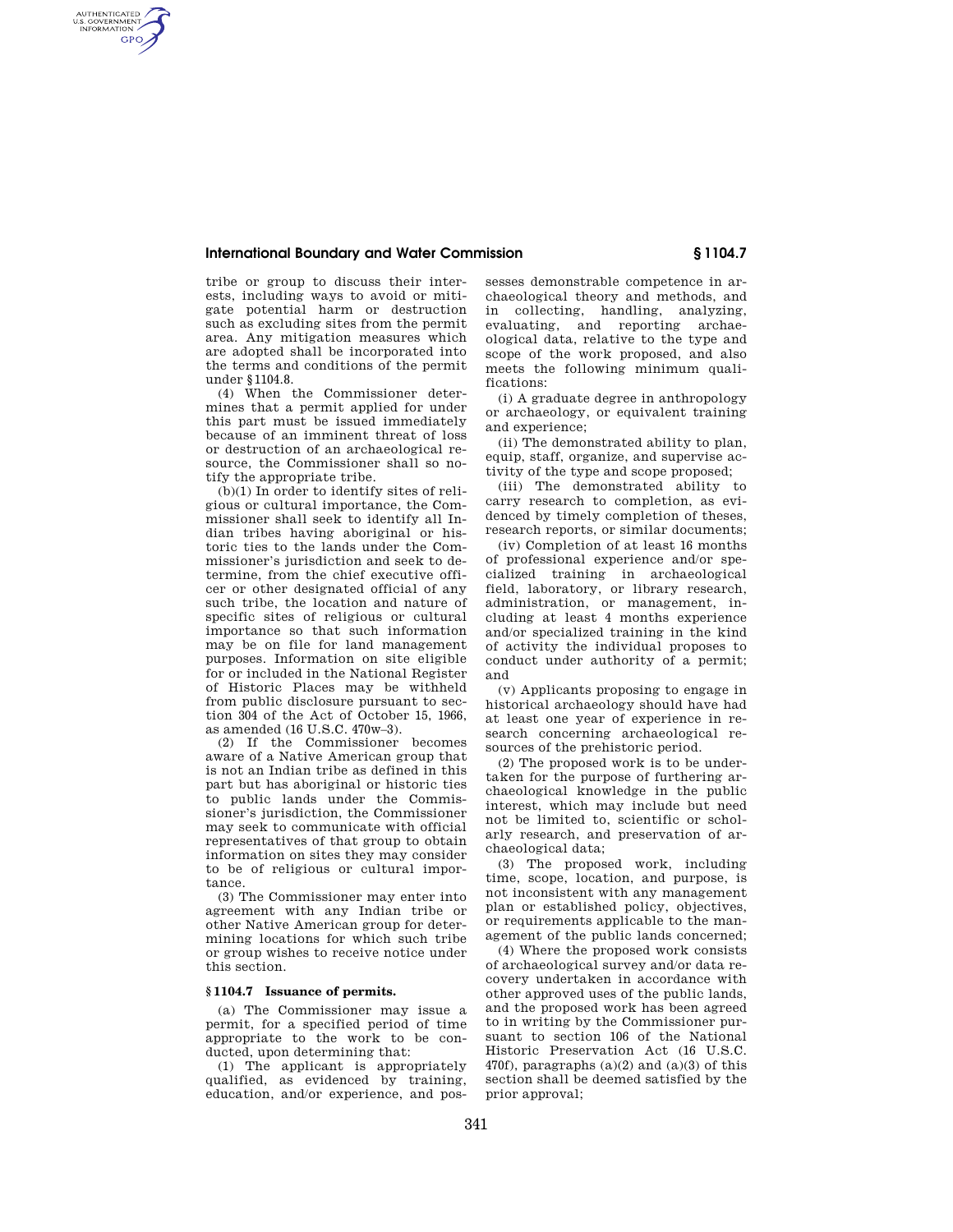# **International Boundary and Water Commission § 1104.7**

tribe or group to discuss their interests, including ways to avoid or mitigate potential harm or destruction such as excluding sites from the permit area. Any mitigation measures which are adopted shall be incorporated into the terms and conditions of the permit under §1104.8.

AUTHENTICATED<br>U.S. GOVERNMENT<br>INFORMATION **GPO** 

> (4) When the Commissioner determines that a permit applied for under this part must be issued immediately because of an imminent threat of loss or destruction of an archaeological resource, the Commissioner shall so notify the appropriate tribe.

> (b)(1) In order to identify sites of religious or cultural importance, the Commissioner shall seek to identify all Indian tribes having aboriginal or historic ties to the lands under the Commissioner's jurisdiction and seek to determine, from the chief executive officer or other designated official of any such tribe, the location and nature of specific sites of religious or cultural importance so that such information may be on file for land management purposes. Information on site eligible for or included in the National Register of Historic Places may be withheld from public disclosure pursuant to section 304 of the Act of October 15, 1966, as amended (16 U.S.C. 470w–3).

> (2) If the Commissioner becomes aware of a Native American group that is not an Indian tribe as defined in this part but has aboriginal or historic ties to public lands under the Commissioner's jurisdiction, the Commissioner may seek to communicate with official representatives of that group to obtain information on sites they may consider to be of religious or cultural importance.

> (3) The Commissioner may enter into agreement with any Indian tribe or other Native American group for determining locations for which such tribe or group wishes to receive notice under this section.

### **§ 1104.7 Issuance of permits.**

(a) The Commissioner may issue a permit, for a specified period of time appropriate to the work to be conducted, upon determining that:

(1) The applicant is appropriately qualified, as evidenced by training, education, and/or experience, and possesses demonstrable competence in archaeological theory and methods, and in collecting, handling, analyzing, evaluating, and reporting archaeological data, relative to the type and scope of the work proposed, and also meets the following minimum qualifications:

(i) A graduate degree in anthropology or archaeology, or equivalent training and experience;

(ii) The demonstrated ability to plan, equip, staff, organize, and supervise activity of the type and scope proposed;

(iii) The demonstrated ability to carry research to completion, as evidenced by timely completion of theses, research reports, or similar documents;

(iv) Completion of at least 16 months of professional experience and/or specialized training in archaeological field, laboratory, or library research, administration, or management, including at least 4 months experience and/or specialized training in the kind of activity the individual proposes to conduct under authority of a permit; and

(v) Applicants proposing to engage in historical archaeology should have had at least one year of experience in research concerning archaeological resources of the prehistoric period.

(2) The proposed work is to be undertaken for the purpose of furthering archaeological knowledge in the public interest, which may include but need not be limited to, scientific or scholarly research, and preservation of archaeological data;

(3) The proposed work, including time, scope, location, and purpose, is not inconsistent with any management plan or established policy, objectives, or requirements applicable to the management of the public lands concerned;

(4) Where the proposed work consists of archaeological survey and/or data recovery undertaken in accordance with other approved uses of the public lands, and the proposed work has been agreed to in writing by the Commissioner pursuant to section 106 of the National Historic Preservation Act (16 U.S.C. 470f), paragraphs  $(a)(2)$  and  $(a)(3)$  of this section shall be deemed satisfied by the prior approval;